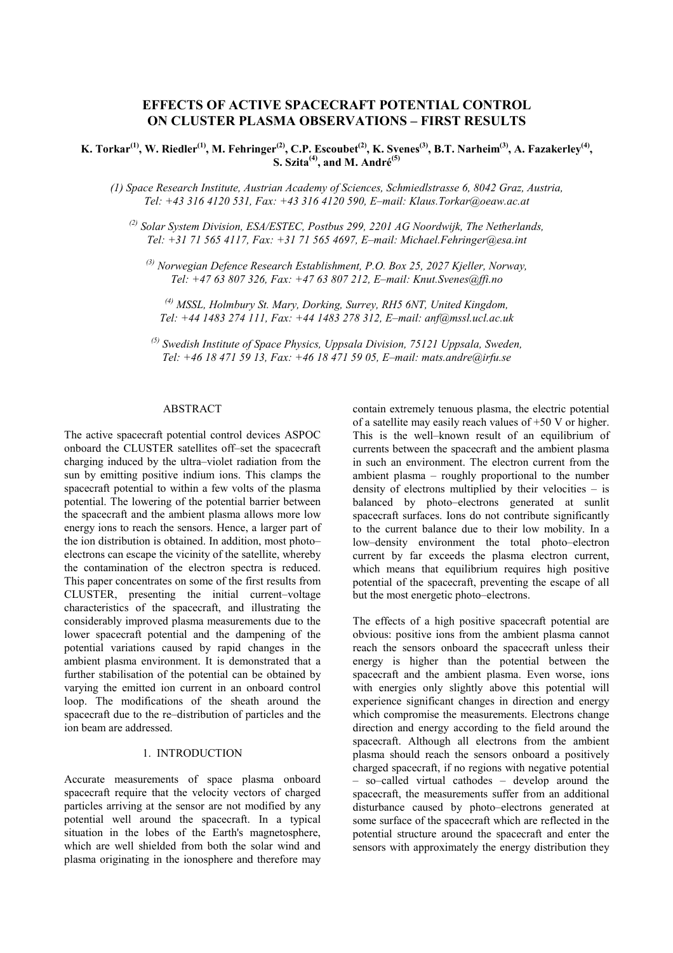# **EFFECTS OF ACTIVE SPACECRAFT POTENTIAL CONTROL ON CLUSTER PLASMA OBSERVATIONS – FIRST RESULTS**

# **K. Torkar**<sup>(1)</sup>, W. Riedler<sup>(1)</sup>, M. Fehringer<sup>(2)</sup>, C.P. Escoubet<sup>(2)</sup>, K. Svenes<sup>(3)</sup>, B.T. Narheim<sup>(3)</sup>, A. Fazakerley<sup>(4)</sup>, **S.** Szita<sup>(4)</sup>, and M. André<sup>(5)</sup>

*(1) Space Research Institute, Austrian Academy of Sciences, Schmiedlstrasse 6, 8042 Graz, Austria, Tel: +43 316 4120 531, Fax: +43 316 4120 590, E–mail: Klaus.Torkar@oeaw.ac.at*

*(2) Solar System Division, ESA/ESTEC, Postbus 299, 2201 AG Noordwijk, The Netherlands, Tel: +31 71 565 4117, Fax: +31 71 565 4697, E–mail: Michael.Fehringer@esa.int*

*(3) Norwegian Defence Research Establishment, P.O. Box 25, 2027 Kjeller, Norway, Tel: +47 63 807 326, Fax: +47 63 807 212, E–mail: Knut.Svenes@ffi.no*

*(4) MSSL, Holmbury St. Mary, Dorking, Surrey, RH5 6NT, United Kingdom, Tel: +44 1483 274 111, Fax: +44 1483 278 312, E–mail: anf@mssl.ucl.ac.uk*

*(5) Swedish Institute of Space Physics, Uppsala Division, 75121 Uppsala, Sweden, Tel: +46 18 471 59 13, Fax: +46 18 471 59 05, E–mail: mats.andre@irfu.se*

#### ABSTRACT

The active spacecraft potential control devices ASPOC onboard the CLUSTER satellites off–set the spacecraft charging induced by the ultra–violet radiation from the sun by emitting positive indium ions. This clamps the spacecraft potential to within a few volts of the plasma potential. The lowering of the potential barrier between the spacecraft and the ambient plasma allows more low energy ions to reach the sensors. Hence, a larger part of the ion distribution is obtained. In addition, most photo– electrons can escape the vicinity of the satellite, whereby the contamination of the electron spectra is reduced. This paper concentrates on some of the first results from CLUSTER, presenting the initial current–voltage characteristics of the spacecraft, and illustrating the considerably improved plasma measurements due to the lower spacecraft potential and the dampening of the potential variations caused by rapid changes in the ambient plasma environment. It is demonstrated that a further stabilisation of the potential can be obtained by varying the emitted ion current in an onboard control loop. The modifications of the sheath around the spacecraft due to the re–distribution of particles and the ion beam are addressed.

### 1. INTRODUCTION

Accurate measurements of space plasma onboard spacecraft require that the velocity vectors of charged particles arriving at the sensor are not modified by any potential well around the spacecraft. In a typical situation in the lobes of the Earth's magnetosphere, which are well shielded from both the solar wind and plasma originating in the ionosphere and therefore may contain extremely tenuous plasma, the electric potential of a satellite may easily reach values of +50 V or higher. This is the well–known result of an equilibrium of currents between the spacecraft and the ambient plasma in such an environment. The electron current from the ambient plasma – roughly proportional to the number density of electrons multiplied by their velocities  $-$  is balanced by photo–electrons generated at sunlit spacecraft surfaces. Ions do not contribute significantly to the current balance due to their low mobility. In a low–density environment the total photo–electron current by far exceeds the plasma electron current, which means that equilibrium requires high positive potential of the spacecraft, preventing the escape of all but the most energetic photo–electrons.

The effects of a high positive spacecraft potential are obvious: positive ions from the ambient plasma cannot reach the sensors onboard the spacecraft unless their energy is higher than the potential between the spacecraft and the ambient plasma. Even worse, ions with energies only slightly above this potential will experience significant changes in direction and energy which compromise the measurements. Electrons change direction and energy according to the field around the spacecraft. Although all electrons from the ambient plasma should reach the sensors onboard a positively charged spacecraft, if no regions with negative potential – so–called virtual cathodes – develop around the spacecraft, the measurements suffer from an additional disturbance caused by photo–electrons generated at some surface of the spacecraft which are reflected in the potential structure around the spacecraft and enter the sensors with approximately the energy distribution they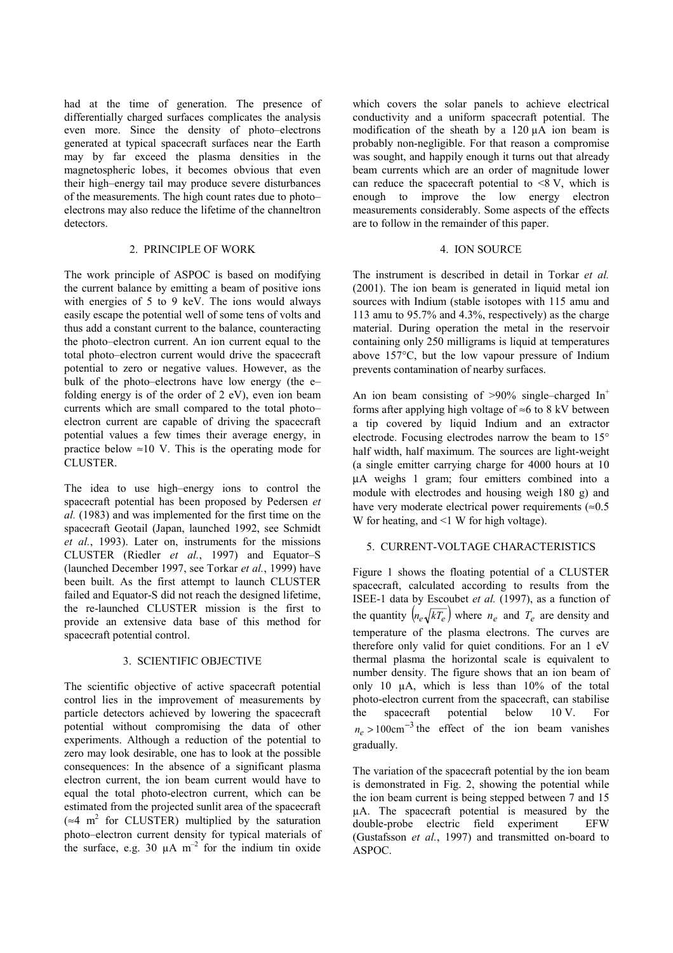had at the time of generation. The presence of differentially charged surfaces complicates the analysis even more. Since the density of photo–electrons generated at typical spacecraft surfaces near the Earth may by far exceed the plasma densities in the magnetospheric lobes, it becomes obvious that even their high–energy tail may produce severe disturbances of the measurements. The high count rates due to photo– electrons may also reduce the lifetime of the channeltron detectors.

### 2. PRINCIPLE OF WORK

The work principle of ASPOC is based on modifying the current balance by emitting a beam of positive ions with energies of 5 to 9 keV. The ions would always easily escape the potential well of some tens of volts and thus add a constant current to the balance, counteracting the photo–electron current. An ion current equal to the total photo–electron current would drive the spacecraft potential to zero or negative values. However, as the bulk of the photo–electrons have low energy (the e– folding energy is of the order of 2 eV), even ion beam currents which are small compared to the total photo– electron current are capable of driving the spacecraft potential values a few times their average energy, in practice below  $\approx 10$  V. This is the operating mode for CLUSTER.

The idea to use high–energy ions to control the spacecraft potential has been proposed by Pedersen *et al.* (1983) and was implemented for the first time on the spacecraft Geotail (Japan, launched 1992, see Schmidt *et al.*, 1993). Later on, instruments for the missions CLUSTER (Riedler *et al.*, 1997) and Equator–S (launched December 1997, see Torkar *et al.*, 1999) have been built. As the first attempt to launch CLUSTER failed and Equator-S did not reach the designed lifetime, the re-launched CLUSTER mission is the first to provide an extensive data base of this method for spacecraft potential control.

#### 3. SCIENTIFIC OBJECTIVE

The scientific objective of active spacecraft potential control lies in the improvement of measurements by particle detectors achieved by lowering the spacecraft potential without compromising the data of other experiments. Although a reduction of the potential to zero may look desirable, one has to look at the possible consequences: In the absence of a significant plasma electron current, the ion beam current would have to equal the total photo-electron current, which can be estimated from the projected sunlit area of the spacecraft ( $\approx$ 4 m<sup>2</sup> for CLUSTER) multiplied by the saturation photo–electron current density for typical materials of the surface, e.g. 30  $\mu$ A m<sup>-2</sup> for the indium tin oxide which covers the solar panels to achieve electrical conductivity and a uniform spacecraft potential. The modification of the sheath by a 120 µA ion beam is probably non-negligible. For that reason a compromise was sought, and happily enough it turns out that already beam currents which are an order of magnitude lower can reduce the spacecraft potential to  $\leq 8$  V, which is enough to improve the low energy electron measurements considerably. Some aspects of the effects are to follow in the remainder of this paper.

### 4. ION SOURCE

The instrument is described in detail in Torkar *et al.* (2001). The ion beam is generated in liquid metal ion sources with Indium (stable isotopes with 115 amu and 113 amu to 95.7% and 4.3%, respectively) as the charge material. During operation the metal in the reservoir containing only 250 milligrams is liquid at temperatures above 157°C, but the low vapour pressure of Indium prevents contamination of nearby surfaces.

An ion beam consisting of  $>90\%$  single–charged In<sup>+</sup> forms after applying high voltage of  $\approx$ 6 to 8 kV between a tip covered by liquid Indium and an extractor electrode. Focusing electrodes narrow the beam to 15° half width, half maximum. The sources are light-weight (a single emitter carrying charge for 4000 hours at 10 µA weighs 1 gram; four emitters combined into a module with electrodes and housing weigh 180 g) and have very moderate electrical power requirements  $(\approx 0.5)$ W for heating, and  $\leq 1$  W for high voltage).

#### 5. CURRENT-VOLTAGE CHARACTERISTICS

Figure 1 shows the floating potential of a CLUSTER spacecraft, calculated according to results from the ISEE-1 data by Escoubet *et al.* (1997), as a function of the quantity  $\left( n_e \sqrt{kT_e} \right)$  where  $n_e$  and  $T_e$  are density and temperature of the plasma electrons. The curves are therefore only valid for quiet conditions. For an 1 eV thermal plasma the horizontal scale is equivalent to number density. The figure shows that an ion beam of only 10 µA, which is less than 10% of the total photo-electron current from the spacecraft, can stabilise the spacecraft potential below 10 V. For  $n_e > 100 \text{cm}^{-3}$  the effect of the ion beam vanishes gradually.

The variation of the spacecraft potential by the ion beam is demonstrated in Fig. 2, showing the potential while the ion beam current is being stepped between 7 and 15 µA. The spacecraft potential is measured by the double-probe electric field experiment EFW (Gustafsson *et al.*, 1997) and transmitted on-board to ASPOC.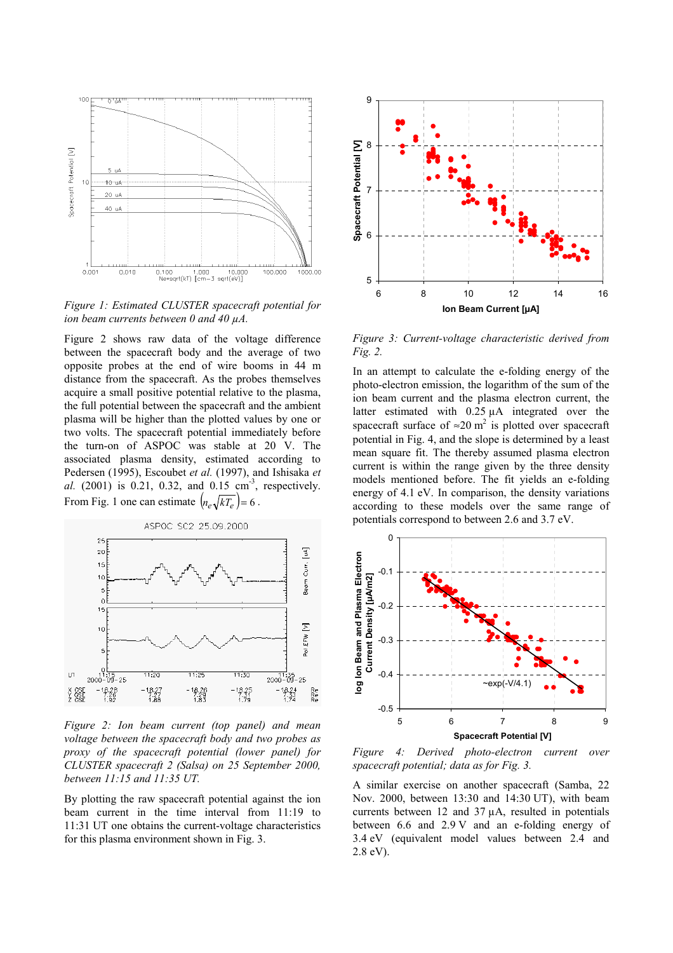

*Figure 1: Estimated CLUSTER spacecraft potential for ion beam currents between 0 and 40 µA.*

Figure 2 shows raw data of the voltage difference between the spacecraft body and the average of two opposite probes at the end of wire booms in 44 m distance from the spacecraft. As the probes themselves acquire a small positive potential relative to the plasma, the full potential between the spacecraft and the ambient plasma will be higher than the plotted values by one or two volts. The spacecraft potential immediately before the turn-on of ASPOC was stable at 20 V. The associated plasma density, estimated according to Pedersen (1995), Escoubet *et al.* (1997), and Ishisaka *et al.* (2001) is 0.21, 0.32, and 0.15 cm<sup>-3</sup>, respectively. From Fig. 1 one can estimate  $\left( n_e \sqrt{kT_e} \right) = 6$ .



*Figure 2: Ion beam current (top panel) and mean voltage between the spacecraft body and two probes as proxy of the spacecraft potential (lower panel) for CLUSTER spacecraft 2 (Salsa) on 25 September 2000, between 11:15 and 11:35 UT.*

By plotting the raw spacecraft potential against the ion beam current in the time interval from 11:19 to 11:31 UT one obtains the current-voltage characteristics for this plasma environment shown in Fig. 3.



*Figure 3: Current-voltage characteristic derived from Fig. 2.*

In an attempt to calculate the e-folding energy of the photo-electron emission, the logarithm of the sum of the ion beam current and the plasma electron current, the latter estimated with 0.25 µA integrated over the spacecraft surface of  $\approx 20$  m<sup>2</sup> is plotted over spacecraft potential in Fig. 4, and the slope is determined by a least mean square fit. The thereby assumed plasma electron current is within the range given by the three density models mentioned before. The fit yields an e-folding energy of 4.1 eV. In comparison, the density variations according to these models over the same range of potentials correspond to between 2.6 and 3.7 eV.



*Figure 4: Derived photo-electron current over spacecraft potential; data as for Fig. 3.*

A similar exercise on another spacecraft (Samba, 22 Nov. 2000, between 13:30 and 14:30 UT), with beam currents between 12 and 37 µA, resulted in potentials between 6.6 and 2.9 V and an e-folding energy of 3.4 eV (equivalent model values between 2.4 and 2.8 eV).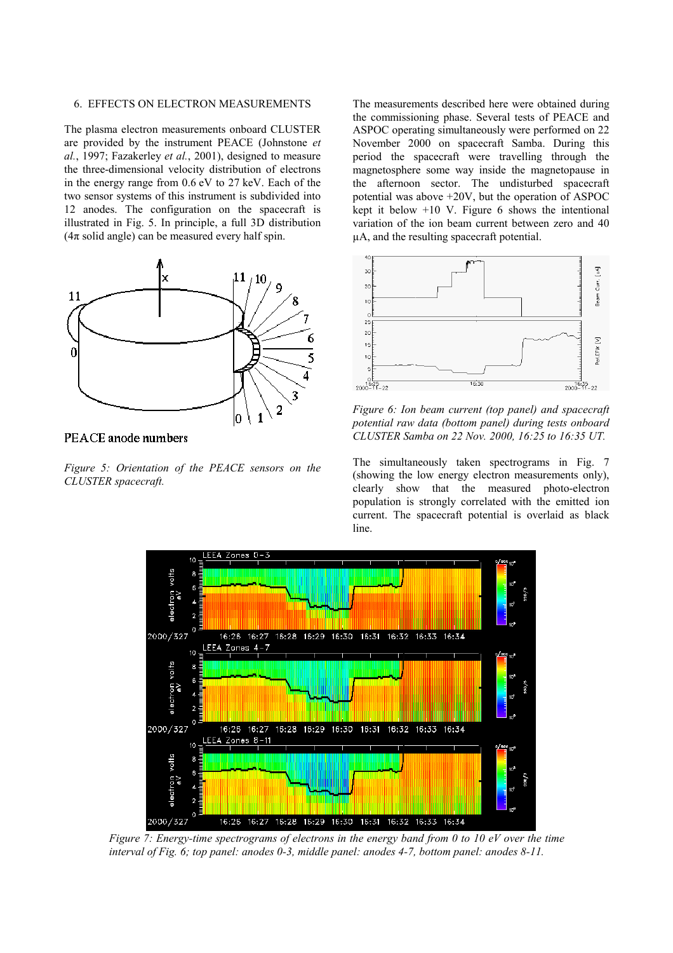#### 6. EFFECTS ON ELECTRON MEASUREMENTS

The plasma electron measurements onboard CLUSTER are provided by the instrument PEACE (Johnstone *et al.*, 1997; Fazakerley *et al.*, 2001), designed to measure the three-dimensional velocity distribution of electrons in the energy range from 0.6 eV to 27 keV. Each of the two sensor systems of this instrument is subdivided into 12 anodes. The configuration on the spacecraft is illustrated in Fig. 5. In principle, a full 3D distribution  $(4\pi \text{ solid angle})$  can be measured every half spin.



PEACE anode numbers

*Figure 5: Orientation of the PEACE sensors on the CLUSTER spacecraft.*

The measurements described here were obtained during the commissioning phase. Several tests of PEACE and ASPOC operating simultaneously were performed on 22 November 2000 on spacecraft Samba. During this period the spacecraft were travelling through the magnetosphere some way inside the magnetopause in the afternoon sector. The undisturbed spacecraft potential was above +20V, but the operation of ASPOC kept it below  $+10$  V. Figure 6 shows the intentional variation of the ion beam current between zero and 40 µA, and the resulting spacecraft potential.



*Figure 6: Ion beam current (top panel) and spacecraft potential raw data (bottom panel) during tests onboard CLUSTER Samba on 22 Nov. 2000, 16:25 to 16:35 UT.*

The simultaneously taken spectrograms in Fig. 7 (showing the low energy electron measurements only), clearly show that the measured photo-electron population is strongly correlated with the emitted ion current. The spacecraft potential is overlaid as black line.



*Figure 7: Energy-time spectrograms of electrons in the energy band from 0 to 10 eV over the time interval of Fig. 6; top panel: anodes 0-3, middle panel: anodes 4-7, bottom panel: anodes 8-11.*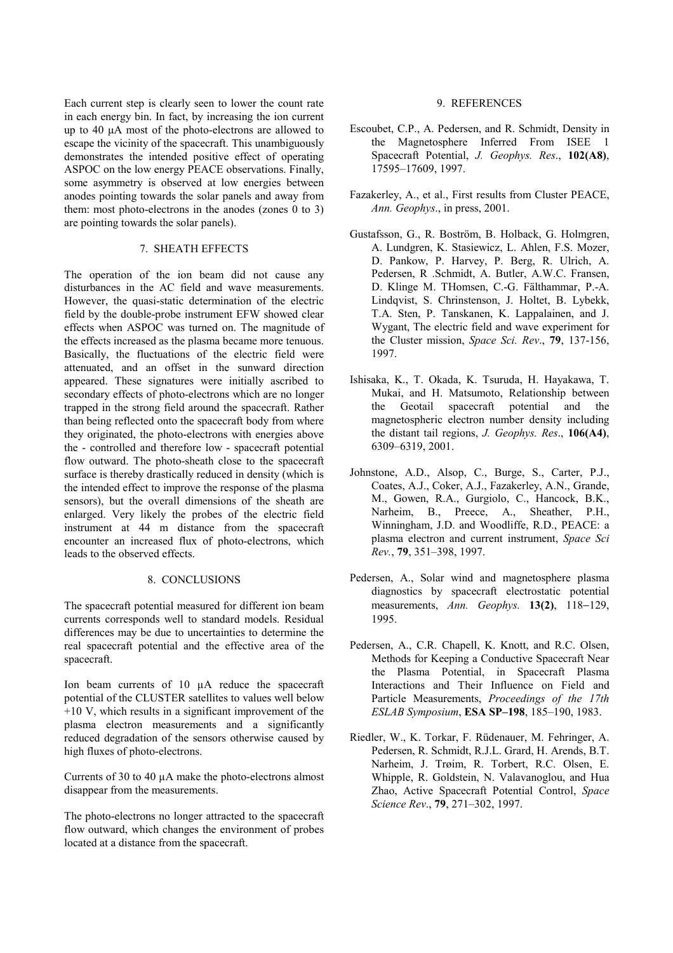Each current step is clearly seen to lower the count rate in each energy bin. In fact, by increasing the ion current up to 40 µA most of the photo-electrons are allowed to escape the vicinity of the spacecraft. This unambiguously demonstrates the intended positive effect of operating ASPOC on the low energy PEACE observations. Finally, some asymmetry is observed at low energies between anodes pointing towards the solar panels and away from them: most photo-electrons in the anodes (zones 0 to 3) are pointing towards the solar panels).

## 7. SHEATH EFFECTS

The operation of the ion beam did not cause any disturbances in the AC field and wave measurements. However, the quasi-static determination of the electric field by the double-probe instrument EFW showed clear effects when ASPOC was turned on. The magnitude of the effects increased as the plasma became more tenuous. Basically, the fluctuations of the electric field were attenuated, and an offset in the sunward direction appeared. These signatures were initially ascribed to secondary effects of photo-electrons which are no longer trapped in the strong field around the spacecraft. Rather than being reflected onto the spacecraft body from where they originated, the photo-electrons with energies above the - controlled and therefore low - spacecraft potential flow outward. The photo-sheath close to the spacecraft surface is thereby drastically reduced in density (which is the intended effect to improve the response of the plasma sensors), but the overall dimensions of the sheath are enlarged. Very likely the probes of the electric field instrument at 44 m distance from the spacecraft encounter an increased flux of photo-electrons, which leads to the observed effects.

### 8. CONCLUSIONS

The spacecraft potential measured for different ion beam currents corresponds well to standard models. Residual differences may be due to uncertainties to determine the real spacecraft potential and the effective area of the spacecraft.

Ion beam currents of 10 µA reduce the spacecraft potential of the CLUSTER satellites to values well below +10 V, which results in a significant improvement of the plasma electron measurements and a significantly reduced degradation of the sensors otherwise caused by high fluxes of photo-electrons.

Currents of 30 to 40 µA make the photo-electrons almost disappear from the measurements.

The photo-electrons no longer attracted to the spacecraft flow outward, which changes the environment of probes located at a distance from the spacecraft.

### 9. REFERENCES

- Escoubet, C.P., A. Pedersen, and R. Schmidt, Density in the Magnetosphere Inferred From ISEE 1 Spacecraft Potential, *J. Geophys. Res*., **102(A8)**, 17595–17609, 1997.
- Fazakerley, A., et al., First results from Cluster PEACE, *Ann. Geophys*., in press, 2001.
- Gustafsson, G., R. Boström, B. Holback, G. Holmgren, A. Lundgren, K. Stasiewicz, L. Ahlen, F.S. Mozer, D. Pankow, P. Harvey, P. Berg, R. Ulrich, A. Pedersen, R .Schmidt, A. Butler, A.W.C. Fransen, D. Klinge M. THomsen, C.-G. Fälthammar, P.-A. Lindqvist, S. Chrinstenson, J. Holtet, B. Lybekk, T.A. Sten, P. Tanskanen, K. Lappalainen, and J. Wygant, The electric field and wave experiment for the Cluster mission, *Space Sci. Rev*., **79**, 137-156, 1997.
- Ishisaka, K., T. Okada, K. Tsuruda, H. Hayakawa, T. Mukai, and H. Matsumoto, Relationship between the Geotail spacecraft potential and the magnetospheric electron number density including the distant tail regions, *J. Geophys. Res*., **106(A4)**, 6309–6319, 2001.
- Johnstone, A.D., Alsop, C., Burge, S., Carter, P.J., Coates, A.J., Coker, A.J., Fazakerley, A.N., Grande, M., Gowen, R.A., Gurgiolo, C., Hancock, B.K., Narheim, B., Preece, A., Sheather, P.H., Winningham, J.D. and Woodliffe, R.D., PEACE: a plasma electron and current instrument, *Space Sci Rev.*, **79**, 351–398, 1997.
- Pedersen, A., Solar wind and magnetosphere plasma diagnostics by spacecraft electrostatic potential measurements, *Ann. Geophys.* **13(2)**, 118−129, 1995.
- Pedersen, A., C.R. Chapell, K. Knott, and R.C. Olsen, Methods for Keeping a Conductive Spacecraft Near the Plasma Potential, in Spacecraft Plasma Interactions and Their Influence on Field and Particle Measurements, *Proceedings of the 17th ESLAB Symposium*, **ESA SP–198**, 185–190, 1983.
- Riedler, W., K. Torkar, F. Rüdenauer, M. Fehringer, A. Pedersen, R. Schmidt, R.J.L. Grard, H. Arends, B.T. Narheim, J. Trøim, R. Torbert, R.C. Olsen, E. Whipple, R. Goldstein, N. Valavanoglou, and Hua Zhao, Active Spacecraft Potential Control, *Space Science Rev*., **79**, 271–302, 1997.